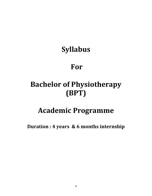# Syllabus

## For

# Bachelor of Physiotherapy (BPT)

## Academic Programme

Duration : 4 years & 6 months internship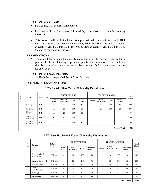#### **DURATION OF COURSE :**

- BPT course will be a full time course.
- Duration will be four years followed by compulsory six months rotatory internship.
- This course shall be divided into four professional examinations namely BPT Part-1 at the end of first academic year, BPT Part-II at the end of second academic year, BPT Part-III at the end of third academic year, BPT Part-IV at the end of fourth academic year,

#### **EXAMINATION :**

• There shall be an annual university examination at the end of each academic year in the form of theory papers and practical examinations. The candidate shall be required to appear in every subject as specified in the course structure for each year.

#### **DURATION OF EXAMINATION :**

o Each theory paper shall be of 3 hrs. duration.

#### **SCHEME OF EXAMINATION:**

| S.<br>No.          | Subjects                            | Subject code   | <b>THEORY MARKS</b> |                        |       |                  | Total     |                        |       |                  |              |
|--------------------|-------------------------------------|----------------|---------------------|------------------------|-------|------------------|-----------|------------------------|-------|------------------|--------------|
|                    |                                     |                | Theory<br>Paper     | Internal<br>Assessment | Total | Minimum<br>Marks | Practical | Internal<br>Assessment | Total | Minimum<br>Marks | <b>Marks</b> |
| -1                 | Anatomy                             | <b>BPT-101</b> | 80                  | 20                     | 100   | 50               | 80        | 20                     | 100   | 50               | 200          |
| 2                  | Physiology                          | <b>BPT-102</b> | 80                  | 20                     | 100   | 50               | 80        | 20                     | 100   | 50               | 200          |
| $\overline{3}$     | Clinical<br>Biochemistry            | <b>BPT-103</b> | 80                  | 20                     | 100   | 50               |           |                        |       |                  | 100          |
| $\overline{4}$     | General<br>Psychology               | <b>BPT-104</b> | 80                  | 20                     | 100   | 50               |           |                        |       |                  | 100          |
| 5.                 | <b>Basic Nursing</b><br>& First Aid | <b>BPT-105</b> | 80                  | 20                     | 100   | 50               |           |                        |       |                  | 100          |
| <b>Grand Total</b> |                                     |                |                     |                        |       |                  |           |                        | 700   |                  |              |

#### **BPT- Part-I ( First Year) University Examination**

## **BPT- Part-II ( Second Year) University Examination**

| S:<br>No           | Subjects                      | Subject        | THEORY MARKS    |                        |       |                         | Total     |                            |       |                  |       |
|--------------------|-------------------------------|----------------|-----------------|------------------------|-------|-------------------------|-----------|----------------------------|-------|------------------|-------|
|                    |                               | Code           | Theory<br>Paper | Internal<br>Assessment | Total | Minimum<br><b>Marks</b> | Practical | Internal<br>Assessme<br>nt | Total | Minimum<br>Marks | Marks |
| 1                  | Biomechanics &<br>Kinesiology | <b>BPT-201</b> | 80              | 20                     | 100   | 50                      | 80        | 20                         | 100   | 50               | 200   |
| 2                  | Exercise therapy $-I$         | <b>BPT-202</b> | 80              | 20                     | 100   | 50                      | 80        | 20                         | 100   | 50               | 200   |
| 3                  | $Electrotherapy - I$          | <b>BPT-203</b> | 80              | 20                     | 100   | 50                      | 80        | 20                         | 100   | 50               | 200   |
| $\overline{4}$     | Medical<br>Microbiology       | <b>BPT-204</b> | 80              | 20                     | 100   | 50                      | 80        | 20                         | 100   | 50               | 200   |
| 5                  | Pathology                     | <b>BPT-205</b> | 80              | 20                     | 100   | 50                      | 80        | 20                         | 100   | 50               | 200   |
| 6                  | Pharmacology                  | <b>BPT-206</b> | 80              | 20                     | 100   | 50                      |           |                            |       |                  | 100   |
| <b>Grand Total</b> |                               |                |                 |                        |       |                         |           |                            | 1100  |                  |       |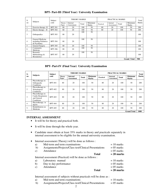| S:                 | Subjects                                                 | Subject        | <b>THEORY MARKS</b> |                        |       | PRACTICAL MARKS  |           |                        |       | Total            |       |
|--------------------|----------------------------------------------------------|----------------|---------------------|------------------------|-------|------------------|-----------|------------------------|-------|------------------|-------|
| no                 |                                                          | code           | Theory<br>Paper     | Internal<br>Assessment | Total | Minimum<br>Marks | Practical | Internal<br>Assessment | Total | Minimum<br>Marks | Marks |
| -1                 | Exercise therapy-II                                      | <b>BPT-301</b> | 80                  | 20                     | 100   | 50               | 80        | 20                     | 100   | 50               | 200   |
| 2                  | Electro therapy $-$ II                                   | <b>BPT-302</b> | 80                  | 20                     | 100   | 50               | 80        | 20                     | 100   | 50               | 200   |
| 3                  | Orthopaedics                                             | <b>BPT-303</b> | 80                  | 20                     | 100   | 50               |           |                        |       |                  | 100   |
| $\overline{4}$     | General Medicine<br>including Pediatrics<br>& Psychiatry | <b>BPT-304</b> | 80                  | 20                     | 100   | 50               |           |                        |       |                  | 100   |
| 5                  | General Surgery                                          | <b>BPT-305</b> | 80                  | 20                     | 100   | 50               |           |                        |       |                  | 100   |
| 6                  | Community<br>Medicine                                    | <b>BPT-306</b> | 80                  | 20                     | 100   | 50               |           |                        |       |                  | 100   |
| 7                  | Research<br>Methodology &<br><b>Biostatistics</b>        | <b>BPT-307</b> | 80                  | 20                     | 100   | 50               |           |                        |       |                  | 100   |
| <b>Grand Total</b> |                                                          |                |                     |                        |       |                  |           |                        | 900   |                  |       |

## **BPT- Part-III (Third Year) University Examination**

## **BPT- Part-IV (Final Year) University Examination**

| S:             | <b>Subjects</b>                                                     | Subject        | <b>THEORY MARKS</b>    |                                      |              | <b>PRACTICAL MARKS</b>         |           |                        |              | <b>Total</b>                   |              |
|----------------|---------------------------------------------------------------------|----------------|------------------------|--------------------------------------|--------------|--------------------------------|-----------|------------------------|--------------|--------------------------------|--------------|
| no             |                                                                     | code           | <b>Theory</b><br>Paper | <b>Internal</b><br><b>Assessment</b> | <b>Total</b> | <b>Minimum</b><br><b>Marks</b> | Practical | Internal<br>Assessment | <b>Total</b> | <b>Minimum</b><br><b>Marks</b> | <b>Marks</b> |
|                | Physiotherapy in<br>Orthopaedic<br>Conditions                       | <b>BPT-401</b> | 80                     | 20                                   | 100          | 50                             | 80        | 20                     | 100          | 50                             | 200          |
| $\overline{c}$ | Physiotherapy in<br>Neurological<br>Conditions                      | <b>BPT-402</b> | 80                     | 20                                   | 100          | 50                             | 80        | 20                     | 100          | 50                             | 200          |
| 3              | Physiotherapy in<br>Cardio Respiratory<br>and General<br>Conditions | <b>BPT-403</b> | 80                     | 20                                   | 100          | 50                             | 80        | 20                     | 100          | 50                             | 200          |
| 4              | Physiotherapy in<br><b>Sports</b>                                   | <b>BPT-404</b> | 80                     | 20                                   | 100          | 50                             | 80        | 20                     | 100          | 50                             | 200          |
| 5.             | Rehabilitation on<br>Medicine                                       | <b>BPT-405</b> | 80                     | 20                                   | 100          | 50                             | 80        | 20                     | 100          | 50                             | 200          |
|                |                                                                     |                |                        |                                      |              |                                |           |                        |              | <b>Grand Total</b>             | 1000         |

## **INTERNAL ASSESSMENT**

- It will be for theory and practical both.
- It will be done through the whole year.
- Candidate must obtain at least 35% marks in theory and practicals separately in internal assessment to be eligible for the annual university examination.
- Internal assessment (Theory) will be done as follows :

| Mid-term and term examinations |              | $= 10$ marks                                                                                                        |
|--------------------------------|--------------|---------------------------------------------------------------------------------------------------------------------|
|                                |              | $= 05$ marks                                                                                                        |
| Attendance                     |              | $= 05$ marks                                                                                                        |
|                                | <b>Total</b> | $= 20$ marks                                                                                                        |
|                                |              |                                                                                                                     |
| Laboratory manual              |              | $= 10$ marks                                                                                                        |
| Day to day performance         |              | $= 05$ marks                                                                                                        |
| Attendance                     |              | $= 05$ marks                                                                                                        |
|                                | <b>Total</b> | $= 20$ marks                                                                                                        |
|                                |              | Assignments/Projects/Class test/Clinical Presentations<br>Internal assessment (Practical) will be done as follows : |

Internal assessment of subjects without practicals will be done as :

- a) Mid-term and term examinations  $= 10$  marks
- b) Assignments/Projects/Class test/Clinical Presentations = 05 marks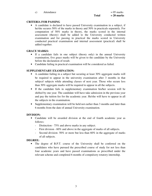c) Attendance  $= 05$  marks

## **CRITERIA FOR PASSING**

• A candidate is declared to have passed University examination in a subject, if he/she secures 50% of the marks in theory and 50% in practicals separately. For computation of 50% marks in theory, the marks scored in the internal assessment (theory) shall be added to the University conducted written examination and for passing in practical the marks scored in University conducted practical examination and internal assessment (practical) shall be added together.

## **GRACE MARKS:**

- If a candidate fails in one subject (theory only) in the annual University examination, five grace marks will be given to the candidate by the University before the declaration of result.
- Candidate failing in practical examination will be considered as failed.

## **SUPPLEMENTARY EXAMINATION:**

- A candidate failing in a subject but securing at least 30% aggregate marks will be required to appear in the university examination after 3 months in that subject/ subjects while attending classes of next year. Those who secure less than 30% aggregate marks will be required to appear in all the subjects.
- If the candidate fails in supplementary examination his/her session will be shifted by one year. The candidate will have take admission in the previous year and pay the tuition fee for the academic year. He/she will have to appear in all the subjects in the examination.
- Supplementary examination will be held not earlier than 3 months and later than 6 months from the date of annual University examination.

## **DIVISION:**

- Candidate will be awarded division at the end of fourth academic year as follows:
	- Distinction 75% and above marks in any subject.
	- First division 60% and above in the aggregate of marks of all subjects.
	- Second division- 50% or more but less than 60% in the aggregate of marks of all subjects.

## **DEGREE:**

• The degree of B.P.T. course of the University shall be conferred on the candidates who have pursued the prescribed course of study for not less than four academic years and have passed examinations as prescribed under the relevant scheme and completed 6 months of compulsory rotatory internship.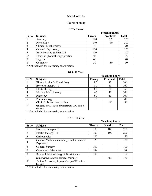## **SYLLABUS**

## **Course of study**

#### **BPT- I Year**

|                |                                  | <b>Teaching hours</b> |                   |              |  |  |
|----------------|----------------------------------|-----------------------|-------------------|--------------|--|--|
| S: no          | <b>Subjects</b>                  | <b>Theory</b>         | <b>Practicals</b> | <b>Total</b> |  |  |
|                | Anatomy                          | 180                   | 120               | 300          |  |  |
| $\overline{2}$ | Physiology                       | 140                   | 60                | 200          |  |  |
| $\overline{3}$ | <b>Clinical Biochemistry</b>     | 70                    |                   | 70           |  |  |
| $\overline{4}$ | General Psychology               | 100                   |                   | 100          |  |  |
| 5              | Basic Nursing & First Aid        | 100                   |                   | 100          |  |  |
| $6*$           | Ethics in physiotherapy practice | 25                    |                   | 25           |  |  |
| $7*$           | English                          | 40                    |                   | 40           |  |  |
| $8*$           | Computer                         | 30                    | 30                | 60           |  |  |

\* Not included for university examination

## **BPT- II Year**

|                |                                                     | <b>Teaching hours</b> |                  |              |  |
|----------------|-----------------------------------------------------|-----------------------|------------------|--------------|--|
| S: No          | <b>Subjects</b>                                     | <b>Theory</b>         | <b>Practical</b> | <b>Total</b> |  |
|                | Biomechanics & Kinesiology                          | 80                    | 80               | 160          |  |
|                | Exercise therapy $-I$                               | 80                    | 80               | 160          |  |
|                | $Electrotheray - I$                                 | 80                    | 80               | 160          |  |
| $\overline{4}$ | <b>Medical Microbiology</b>                         | 60                    | 40               | 100          |  |
| 5              | Pathology                                           | 60                    | 40               | 100          |  |
|                | Pharmacology                                        | 70                    |                  | 70           |  |
|                | Clinical observation posting                        |                       | 480              | 480          |  |
| $6*$           | (at least 2 hours /day in physiotherapy OPD or in a |                       |                  |              |  |
|                | hospital)                                           |                       |                  |              |  |

\* Not included for university examination

## **BPT -III Year**

|                |                                                                                                           | <b>Teaching hours</b> |                  |              |  |
|----------------|-----------------------------------------------------------------------------------------------------------|-----------------------|------------------|--------------|--|
| S: no          | <b>Subjects</b>                                                                                           | <b>Theory</b>         | <b>Practical</b> | <b>Total</b> |  |
|                | Exercise therapy-II                                                                                       | 100                   | 100              | <b>200</b>   |  |
| $\overline{2}$ | Electro therapy $-$ II                                                                                    | 100                   | 100              | 200          |  |
| 3              | Orthopaedics                                                                                              | 120                   |                  | 120          |  |
| 4              | General Medicine including Paediatrics and<br>Psychiatry                                                  | 120                   |                  | 120          |  |
| 5              | <b>General Surgery</b>                                                                                    | 100                   |                  | 100          |  |
| 6              | <b>Community Medicine</b>                                                                                 | 80                    |                  | 80           |  |
|                | Research Methodology & Biostatistics                                                                      | 100                   |                  | 100          |  |
| $8*$           | Supervised rotatory clinical training<br>(at least 2 hours /day in physiotherapy OPD or in a<br>hospital) |                       | 480              | 480          |  |

\* Not included for university examination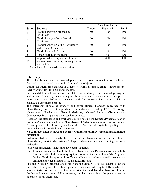#### **BPT-IV Year**

|       |                                                | <b>Teaching hours</b> |                  |              |  |
|-------|------------------------------------------------|-----------------------|------------------|--------------|--|
| S: no | <b>Subjects</b>                                | <b>Theory</b>         | <b>Practical</b> | <b>Total</b> |  |
|       | Physiotherapy in Orthopaedic                   | 80                    | 100              | 180          |  |
|       | Conditions                                     |                       |                  |              |  |
|       | Physiotherapy in Neurological                  | 80                    | 100              | 180          |  |
|       | Conditions                                     |                       |                  |              |  |
|       | Physiotherapy in Cardio Respiratory            | 80                    | 100              | 180          |  |
|       | and General Conditions                         |                       |                  |              |  |
| 4     | Physiotherapy in Sports                        | 60                    | 40               | 100          |  |
|       | Rehabilitation on Medicine                     | 80                    | 40               | 120          |  |
|       | Supervised rotatory clinical training          |                       | 480              | 480          |  |
| $7*$  | (at least 2 hours /day in physiotherapy OPD or |                       |                  |              |  |
|       | in a hospital)                                 |                       |                  |              |  |

\* Not included for university examination

#### **Internship:**

There shall be six months of Internship after the final year examination for candidates declared to have passed the examination in all the subjects.

During the internship candidate shall have to work full time average 7 hours per day (each working day) for 6 Calendar months.

Each candidate is allowed maximum of 6 holidays during entire Internship Program and in case of any exigencies during which the candidate remains absent for a period more than 6 days, he/she will have to work for the extra days during which the candidate has remained absent.

The Internship should be rotatory and cover clinical branches concerned with Physiotherapy such as Orthopaedics, Cardiothoracic including ICU, Neurology, Neurosurgery, Paediatrics, General Medicine, General Surgery, Obstetrics and Gynaecology both inpatient and outpatient services.

Based on the attendance and work done during posting the Director/Principal/ head of institution/department shall issue '**Certificate of Satisfactory completion**' of training following which the University shall award the Bachelor of Physiotherapy Degree or declare the candidate eligible for the same.

#### **No candidate shall be awarded degree without successfully completing six months internship**.

Institution shall have to satisfy themselves that satisfactory infrastructure facilities of Physiotherapy exist in the Institute / Hospital where the internship training has to be undertaken.

Following parameters / guidelines have been suggested:

- a. It is mandatory for the Institution to have its own Physiotherapy clinic fully furnished with all the necessary equipments as per the curriculum of the Program.
- b. Senior Physiotherapist with sufficient clinical experience should manage the physiotherapy departments in the Institutes/Hospitals.

Institute Director / Principal can at his discretion grant NOC to the students to do the Internship at the place of his choice provided the concerned Hospital fully satisfies the above criteria. For the purpose of granting NOC the candidate shall have to submit to the Institution the status of Physiotherapy services available at the place where he intends to do his Internship.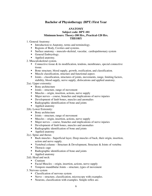## **Bachelor of Physiotherapy (BPT) First Year**

## **ANATOMY**

#### **Subject code: BPT-101 Minimum hours: Theory-180 Hrs., Practical-120 Hrs. THEORY**

- 1. General Anatomy:
	- Introduction to Anatomy, terms and terminology.
	- Regions of Body, Cavities and systems.
	- Surface anatomy musculo-skeletal, vascular, cardiopulmonary system
	- General Embryology.
	- Applied anatomy.
- 2. Musculoskeletal system.
	- Connective tissue  $\&$  its modification, tendons, membranes, special connective tissue.
	- Bone structure, blood supply, growth, ossification, and classification.
	- Muscle classification, structure and functional aspect.
	- Joints classification, structures of joints, movements, range, limiting factors, stability, blood supply, nerve supply, dislocations and applied anatomy.
- 2(a). Upper extremity:
	- Bony architecture
	- $\blacksquare$  Joints structure, range of movement
	- $\blacksquare$  Muscles origin, insertion, actions, nerve supply
	- Major nerves course, branches and implications of nerve injuries
	- Development of limb bones, muscles and anomalies
	- Radiographic identification of bone and joints
	- Applied anatomy
- 2(b). Lower Extremity:
	- **Bony** architecture
	- Joints structure, range of movement
	- Muscles origin, insertion, actions, nerve supply
	- Major nerves course, branches and implications of nerve injuries
	- Development of limb bones, muscles and anomalies
	- Radiographic identification of bone and joints
	- Applied anatomy
- 2(c). Spine and thorax
	- Back muscles Superficial layer, Deep muscles of back, their origin, insertion, action and nerve supply.
	- Vertebral column Structure & Development, Structure & Joints of vertebra
	- Thoracic cage
	- Radiographic identification of bone and joints
	- Applied anatomy
- 2(d). Head and neck:
	- Cranium
	- Facial Muscles origin, insertion, actions, nerve supply
	- Temporo mandibular Joints structure, types of movement
- 3. Nervous system
	- Classification of nervous system
	- Nerve structure, classification, microscopy with examples.
	- Neurons, classification with examples. Simple reflex arc.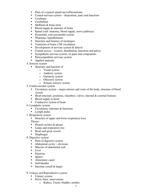- Parts of a typical spinal nurve/Dermatome
- $\blacksquare$  Central nervous system disposition, parts and functions
- Cerebrum
- Cerebellum
- **Midbrain & brain stem**
- Blood supply  $&$  anatomy of brain
- **Spinal cord-anatomy, blood supply, nerve pathways**
- Pyramidal, extra pyramidal system
- Thalamus, hypothalamus
- Structure and features of meningies
- Ventricles of brain, CSF circulation
- Development of nervous system  $&$  defects
- Cranial nerves (course, distribution, functions and palsy)
- Sympathetic nervous system, its parts and components
- **Parasympathetic nervous system**
- Applied anatomy
- 4. Sensory system
	- Structure and function of
		- o Visual system
		- o Auditory system
		- o Gustatory system
		- o Olfactory system
		- o Somato sensory system
- 5. Cardiovascular system
	- Circulatory system major arteries and veins of the body, structure of blood vessels
	- Heart structure, positions, chambers, valves, internal  $\&$  external features
	- Blood supply to heart
	- Conductive system of heart
- 6. Lymphatic system
	- Circulation, structure  $&$  functions
	- **Lymph nodes**
- 7. Respiratory system
	- Structure of upper and lower respiratory tract

## Thorax:

- $\blacksquare$  Pleural cavities & pleura
- **Lungs and respiratory tree**
- Heart and great vessels
- Diaphragm
- 8. Digestive system
	- Parts of digestive system
	- $\blacksquare$  Abdominal cavity divisions
	- **Muscles of abdominal wall**
	- $\blacksquare$  Liver
	- Pancreas
	- **Spleen**
	- Alimentary canal
	- **Gall bladder**
	- Intestine (small  $&$  large)
- 9. Urinary and Reproductive system
	- Urinary system
	- Pelvic floor, innervations
		- o Kidney, Ureter, bladder, urethra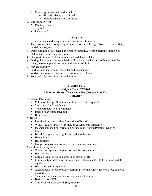- Genital system male and female
	- o Reproductive system of male
	- o Reproductive system of female
- 10. Endocrine system
	- Pituitary gland
	- **Thyroid**
	- Parathyroid

- 1. Identification and description of all anatomical structures.
- 2. The learning of Anatomy is by demonstration only through dissected parts, slides, models, charts, etc.
- 3. Demonstration of dissected parts (upper extremity, lower extremity, thoracic  $\&$ abdominal viscera, face and brain).
- 4. Demonstration of skeleton- articulated and disarticulated.
- 5. During the training more emphasis will be given on the study of bones, muscles, joints, nerve supply of the limbs and arteries of limbs.
- 6. Surface anatomy: -surface land mark-bony, muscular and ligamentous. -surface anatomy of major nerves, arteries of the limbs.
- 7. Points of palpation of nerves and arteries.

## **PHYSIOLOGY**

#### **Subject Code: BPT-102 Minimum Hours: Theory-140 Hrs., Practical-60 Hrs. THEORY**

- 1. General Physiology
	- Cell: morphology, Structure and function of cell organelles
	- Structure of cell membrane
	- **Transport across cell membrane**
	- **Intercellular communication**
	- **Homeostasis**
- 2. Blood
	- Introduction-composition  $&$  function of blood
	- W.B.C., R.B.C., Platelets formation & functions, Immunity
	- Plasma: composition, formation & functions, Plasma Proteins:-types  $\&$ functions
	- Blood Groups- types , significance, determination
	- Hemoglobin
	- **Haemostasis**
	- **Lymph-composition, formation, circulation &functions**
- 3. Cardiovascular system
	- Conducting system-components, impulse conduction
	- **Heart valves**
	- Cardiac cycle- definition, phases of cardiac cycle
	- Cardiac output- definition, normal value, determinants. Stroke volume and its regulation
	- Heart rate and its regulation
	- Arterial pulse, Blood pressure-definition, normal values, factors affecting blood pressure
	- Shock-definition, classification, causes and features
	- **Basic idea of ECG**
	- Cardiovascular changes during exercise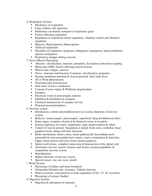- 4. Respiratory System
	- Mechanics of respiration
	- Lung volumes and capacities
	- Pulmonary circulation, transport of respiratory gases
	- Factors affecting respiration
	- Regulation of respiration-neural regulation, voluntary control and chemical regulation
	- Hypoxia, Hypercapnoea, Hypocapnoea
	- **Artificial respiration**
	- Disorders of respiration-dyspnoea, orthopnoea, hyperpnoea, hyperventilation, apnoea, tachypnoea
	- Respiratory changes during exercise.
- 5. Nerve Muscle Physiology
	- Muscles- classification, structure, properties, Excitation contraction coupling
	- Motor unit, EMG, factors affecting muscle tension,
	- **Muscle tone, fatigue, exercise**
	- Nerve –structure and function of neurons, classification, properties
	- Resting membrane potential  $&$  Action potential their ionic basis
	- All or None phenomenon
	- Neuromuscular transmission
	- Ionic basis of nerve conduction
	- Concept of nerve injury & Wallerian degeneration
	- **Synapses**
	- Electrical events in postsynaptic neurons
	- $\blacksquare$  Inhibition & facilitation at synapses
	- Chemical transmission of synaptic activity
	- Principal neurotransmitters.
- 6. Nervous system
	- Introduction, central and peripheral nervous system, functions of nervous system
	- Reflexes- monosynaptic, polysynaptic, superficial, deep &withdrawal reflex
	- Sense organ, receptors, electrical  $&$  chemical events in receptors
	- Sensory pathways for touch, temperature, pain, proprioception  $&$  others
	- Control of tone & posture: Integration at spinal, brain stem, cerebellar, basal ganglion levels, along with their functions
	- Motor mechanism: motor cortex, motor pathway: the descending tractspyramidal & extra pyramidal tracts-origin, course, termination & functions. Upper motor neuron and lower motor neuron paralysis.
	- $\blacksquare$  Spinal cord lesions- complete transection & hemisection of the spinal cord
	- Autonomic nervous system : features and actions of parasympathetic  $\&$ sympathetic nervous system
	- **Hypothalamus**
	- Higher functions of nervous system
	- **Special senses- eye, ear, nose, mouth**
- 7. Renal System
	- Physiology of kidney and urine formation
	- Glomerular filtration rate, clearance, Tubular function
	- Water excretion, concentration of urine-regulation of  $\text{Na}^+$ , Cl, K<sup>+</sup> excretion
	- **Physiology of urinary bladder**
- 8. Digestive System
	- Digestion  $&$  absorption of nutrients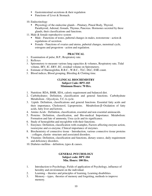- Gastrointestinal secretions & their regulation
- Functions of Liver & Stomach.
- 10. Endocrinology
	- Physiology of the endocrine glands Pituitary, Pineal Body, Thyroid, Parathyroid, Adrenal, Gonads, Thymus, Pancreas. Hormones secreted by these glands, their classifications and functions.
- 11. Male & female reproductive system
	- Male Functions of testes, pubertal changes in males, testosterone action  $\&$ regulations of secretion.
	- Female Functions of ovaries and uterus, pubertal changes, menstrual cycle, estrogens and progestron - action and regulation.

- 1. Examination of pulse, B.P., Respiratory rate.
- 2. Reflexes
- 3. Spirometery to measure various lung capacities & volumes, Respiratory rate, Tidal volume, IRV, IC, ERV, EC, residual volume on Spirometery.
- 4. Estimate of Haemoglobin, R.B.C., W.B.C., TLC, DLC, ESR count.
- 5. Blood indices, Blood grouping, Bleeding & Clotting time.

#### **CLINICAL BIOCHEMISTRY Subject Code: BPT-103 Minimum Hours: 70 Hrs.**

- 1. Nutrition: RDA, BMR, SDA, caloric requirement and balanced diet.
- 2. Carbohydrates: Definition, classification and general functions. Carbohydrate Metabolism - Glycolysis, T.C.A cycle.
- 3. Lipids: Definition, classifications and general functions. Essential fatty acids and their importance, Cholesterol, Lipoproteins. Metabolism-β−Oxidation of fatty acids, fatty liver and ketosis.
- 4. Amino Acids : Definition, classification, essential and non essential aminoacids.
- 5. Proteins: Definition, classification, and Bio-medical Importance. Metabolism: Formation and fate of ammonia, Urea cycle and its significance.
- 6. Study of hemoglobin and myoglobin with their functions.
- 7. Enzymes: Definition, classification with examples, Factors affecting enzyme action, isoenzyme and co-enzyme, Clinical importance of enzymes.
- 8. Biochemistry of connective tissue Introduction, various connective tissue proteins : collagen, elastin- structure and associated disorders.
- 9. Vitamins: Definition, classification and functions, dietary source, daily requirement and deficiency disorders.
- 10. Diabetes mellitus definition, types & causes.

## **GENERAL PSYCHOLOGY Subject code: BPT-104 Min. Hours: 100 Hrs.**

- 1. Introduction to Psychology, Fields of application of Psychology, influence of heredity and environment on the individual.
- 2. Learning theories and principles of learning, Learning disabilities.
- 3. Memory types, theories of memory and forgetting, methods to improve memory.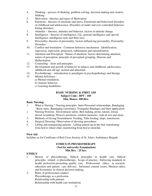- 4. Thinking process of thinking, problem solving, decision making and creative thinking.
- 5. Motivation theories and types of Motivation.
- 6. Emotions theories of emotions and stress, Emotional and behavioral disorders of childhood and adolescence, Disorders of under and over controlled behavior, Eating disorders.
- 7. Attitudes theories, attitudes and behavior, factors in attitude change.
- 8. Intelligence theories of intelligence, I.Q., general intelligence and special intelligence, intelligence tests and their uses.
- 9. Personality, theories of personality, factors influencing personality, Personality Disorders.
- 10. Conflict and frustration Common defensive mechanism : Identification, regression, repression, projection, sublimation and rationalization.
- 11. Attention and Perception : Nature of attention, factors determining attention, nature of perception, principle of perceptual grouping; illusions and Hallucination.
- 12. Counseling Aims and principles.
- 13. Development and growth of behavior in infancy and childhood, adolescence, adulthood and old age, normal and abnormal.
- 14. Psychotherapy introduction to paradigms in psychopathology and therapy.
- 15. Mental deficiency
	- a) Mental retardation,
	- b) Autistic behavior
	- c) Learning disabilities.

#### **BASIC NURSING & FIRST AID Subject Code : BPT - 105 Min. Hours: 100 Hrs.**

#### **Basic Nursing:**

- 1. What is Nursing ? Nursing principles. Inter-Personnel relationships, Bandaging : Basic turns, Bandaging extremities, Triangular Bandages and their application.
- 2. Nursing Position: Environment safety, Bed making, prone, lateral, dorsal, dorsal recumbent, Flower's positions, comfort measures, Aids & rest and sleep.
- 3. Methods of Giving Nourishment: Feeding, Tube feeding, drips, transfusion.
- 4. Surgical Dressing: Observation of dressing procedures.
- 5. Lifting and transporting patients : Lifting patient up in the bed, transferring from bed to wheel chair, transferring from bed to stretcher.

## **First Aid**

Syllabus as for Certificate of Red Cross Society of St. John's Ambulance Brigade.

## **ETHICS IN PHYSIOTHERAPY (Not for university Examination) Min Hrs. - 25 hrs.**

## **ETHICS**

- 1. History of physiotherapy, Ethical principles in health care, Ethical principles related to physiotherapy, Scope of practice, Enforcing standards in health profession-promoting quality care, Professional ethics in research, education and patient care delivery, Informed consent issues, Medical ethics and Economics in clinical decision-making.
- 2. Rules of professional conduct: Physiotherapy as a profession Relationship with patients Relationship with health care institutions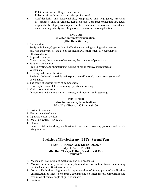Relationship with colleagues and peers

Relationship with medical and other professional.

3. Confidentiality and Responsibility, Malpractice and negligence, Provision of services and, advertising, Legal aspects: Consumer protection act, Legal responsibility of physiotherapist for their action in professional context and understanding liability and obligations in case of medico-legal action

#### **ENGLISH (Not for university Examination) (Min. Hrs - 40 Hrs. )**

1. Introduction:

 Study techniques, Organisation of effective note taking and logical processes of analysis and synthesis, the use of the dictionary, enlargement of vocabulary& effective diction.

- 2. Applied Grammar: Correct usage, the structure of sentences, the structure of paragraphs.
- 3. Written Composition: Precise writing and summarising, writing of bibliography, enlargement of vocabulary.
- 4. Reading and comprehension Review of selected materials and express oneself in one's words, enlargement of vocabulary.
- 5. The study of various forms of composition : Paragraph, essay, letter, summary, practice in writing.
- 6. Verbal communication: Discussions and summarization, debates, oral reports, use in teaching.

## **COMPUTER (Not for university Examination) Min. Hrs - Theory : 30 Practical : 30**

- 1. Basics of computer
- 2. Hardware and software
- 2. Input and output devices
- 3. Operating system DOS, etc
- 4. Internet-

 Email, social networking, application in medicine, browsing journals and article using internet

## **Bachelor of Physiotherapy (BPT) - Second Year**

#### **BIOMECHANICS AND KINESIOLOGY Subject Code: BPT-201 Min. Hrs: Theory- 80 Hrs., Practical - 80 Hrs. THEORY**

- 1. Mechanics Definition of mechanics and Biomechanics
- 2. Motion: definition, types of motion, plane and axis of motion, factor determining the kind and modification of motion.
- 3. Force Definition, diagrammatic representation of force, point of application, classification of forces, concurrent, coplanar and co-linear forces, composition and resolution of forces, angle of pulls of muscle
- 4. Friction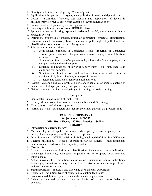- 5. Gravity Definition, line of gravity, Centre of gravity
- 6. Equilibrium Supporting base, types, and equilibrium in static and dynamic state
- 7. Levers Definition, function, classification and application of levers in physiotherapy & order of levers with example of lever in human body
- 8. Pulleys system of pulleys, types and application
- 9. Elasticity Definition, stress, strain, HOOKE'S Law
- 10. Springs properties of springs, springs in series and parallel, elastic materials in use
- 11. Muscular system
- 12. Definition, properties of muscle, muscular contraction, structural classification, action of muscle in moving bone, direction of pull, angle of pull, functional classification, coordination of muscular system.
- 13. Joint structures and functions:
	- i. Joint design, Structure of Connective Tissue, Properties of Connective Tissue, joint function, changes with disease, injury, immobilization, exercise, over use
	- ii. Structure and functions of upper extremity joints shoulder complex, elbow complex, wrist and hand complex
	- iii. Structure and functions of lower extremity joints hip joint, knee joint, ankle and foot complex
	- iv. Structure and functions of axial skeletal joints vertebral column craniocervical, thorax, lumbar, lumbo pelvic region
	- v. Structure and functions of tempromandibular joint
- 14. Posture dynamic and static posture, kinetic and kinematics of posture, analysis of posture, effect of age, pregnancy, occupation on posture.
- 15. Gait kinematics and kinetics of gait, gait in running and stair climbing.

- 1. Goniometry measurement of joint ROM
- 2. Identify Muscle work of various movements in body at different angle.
- 3. Identify normal and abnormal posture.
- 4. Normal gait with it parameters and identify abnormal gait with the problems in it.

#### **EXERCISE THERAPY - I Subject Code : BPT-202 Min. Hrs. : Theory - 80 Hrs., Practical - 80 Hrs. THEORY**

- 1. Introduction to exercise therapy
- 2. Mechanical principle applied in human body gravity, centre of gravity, line of gravity, base of support, equilibrium, axis and planes
- 3. Disability models ICIDH model of disability, Nagi model of disability, ICF model
- 4. Exercise physiology effect of exercise in various systems musculoskeletal, neuromuscular, cardiovascular, respiratory system
- 5. Movements
- 6. Passive movements definition, classification, indications, contra indications, advantages, limitations, techniques - emphasize PROM to upper, lower, neck and trunk muscles
- 7. Active movements definition, classification, indications, contra indications, advantages, limitations, techniques - emphasize active movements to upper, lower, and neck and trunk muscles
- 8. Starting positions muscle work, effect and uses and derived positions
- 9. Relaxation definition, types of relaxation, relaxation techniques
- 10. Suspension definition, types, uses and therapeutic applications
- 11. Balance static and dynamic balance, mechanism of balance control, balancing exercises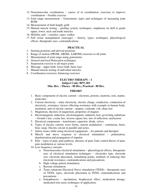- 12. Neuromuscular coordination causes of in coordination, exercises to improve coordination – Frenkle exercise
- 13. Joint range measurement Goniometer, types and techniques of measuring joint ROM
- 14. Measurement of limb length, girth
- 15. Manual muscle testing grading system, techniques- emphasize on skill to grade upper, lower, neck and trunk muscles.
- 16. Mobility aids crutches, canes, walker
- 17. Soft tissue manipulation (massage) history, types, techniques, physiological effects, therapeutic uses, contraindications

- 1. Starting positions and derived positions
- 2. Range of motion (PROM, AROM, AAROM) exercises to all joints
- 3. Measurement of joint range using goniometer
- 4. General and local Relaxation techniques
- 5. Suspension exercise to all major joints
- 6. Massage upper limb, lower limb, back, face
- 7. Manual muscle testing of individual muscles
- 8. Coordination exercises, balancing exercises

#### **ELECTRO THERAPY – I Subject Code: BPT-203 Min. Hrs. : Theory - 80 Hrs., Practical - 80 Hrs.**

#### **THEORY**

- 1. Basic components of electric current electrons, protons, neutrons, ions, matter, molecules
- 2. Current electricity static electricity, electric charge, conductors, conduction of electricity, resistance, factors effecting resistance with example in human body, insulation, unit of electric current – ampere, coulomb, volt, ohms law
- 3. Magnetism, theories of magnetism, properties of magnet.
- 4. Electromagnetic induction, electromagnetic radiation, laws governing radiations – Grouth's law, cosine law, inverse square law, law of reflection, rarefaction.
- 5. Electrical components transformer, capacitor, diode, valves
- 6. Types of electric current, wave forms, current modulation continuous, burst, beat, surge. Electric circuit in parallel and series.
- 7. Safety issues while using electrical equipments for patients and therapist
- 8. Muscle and nerve response to electrical stimulation polarization, depolarization and propagation of impulse.
- 9. Pain types of pain, pain pathway, theories of pain, Gate control theory of pain, pain modulation at various levels.
- 10. Low frequency currents:
	- a. Neuromuscular electrical stimulation physiological effects, therapeutic uses of electrical stimulation techniques – electrodes type, electrode size, electrode placement, stimulating points, methods of reducing skin electrode resistance, contraindications and precautions.
	- b. High voltage pulsed stimulation.
	- c. Russian stimulation.
	- d. Trans cutaneous Electrical Nerve stimulation (TENS) therapeutic uses of TENS, types, electrode placement in TENS, contraindications and precautions
	- e. Iontophoresis mechanism, biophysical effect, medication dosage, medicated ions used, techniques of application.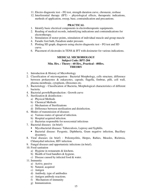- 11. Electro diagnostic test FG test, strength duration curve, chronaxie, reobase
- 12. Interferential therapy (IFT) physiological effects, therapeutic indications, methods of application, sweep, base, contraindication and precautions.

- 1. Identify basic electrical components in electrotherapeutic equipments.
- 2. Reading of medical records, indentifying indications and contraindications for electrotherapy.
- 3. Stimulation of motor points, stimulation of individual muscle and group muscle
- 4. Faradic foot bath, Faradism under pressure.
- 5. Plotting SD graph, diagnosis using electro diagnostic test FG test and SD curve.
- 6. Placement of electrodes in TENS & IFT with dosimeter for various indications.

## **MEDICAL MICROBIOLOGY Subject Code: BPT-204 Min. Hrs. : Theory - 60 Hrs., Practical - 40Hrs. THEORY**

- 1. Introduction & History of Microbiology
- 2. Classification of microorganism : Bacterial Morphology, cells structure, difference between prokaryotes & eukaryotes, capsule, flagella, fimbrae, pilli, cell wall, plasma membrane, cytoplasm, ribosomes etc.
- 3. Bacteriology Classification of Bacteria, Morphological characteristics of different bacteria.
- 4. Bacterial growth/Reproduction : Growth curve
- 5. Sterilization & disinfection :
	- a) Physical Methods
	- b) Chemical Methods
	- c) Mechanism of Sterilizations
	- d) Difference between sterilization and disinfection.
- 6. Modes of transmission of diseases
	- a) Various routes of spread of infection.
	- b) Hospital acquired infection.
	- c) Bacterias responsible for nosocomial infectious
- 7. Bacterial diseases (in brief):
	- Mycobacterial diseases: Tuberculosis, Leprosy and Syphilis.
	- Bacterial disease: Pyogenic, Diphtheria, Gram negative infection, Bacillary dysentery.
- 8. Viral diseases (in brief) : Poliomyelitis, Herpes, Rabies, Measles, Rickttsia, Chlamydial infection, HIV infection.
- 9. Fungal diseases and opportunistic infections (in brief).
- 10. Food sanitation
	- a) Hygiene in restaurants & kitchens.
	- b) Health of food handlers & hygiene.
	- c) Disease caused by infected food & water.
- 11. Immunity
	- a) Active, passive
	- b) Natural, acquired
	- c) Antigen
	- d) Antibody, type of antibodies
	- e) Antigen antibody reactions.
	- f) Mechanism of immunity
	- g) Immunization.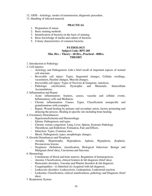12. AIDS - Aetiology, modes of transmission, diagnostic procedure.

13. Handling of infected material.

#### **PRACTICAL**

- 1. Preparation of smear.
- 2. Basic staining methods
- 3. Identification of bacteria on the basis of staining.
- 4. Basic knowledge of media and culture of bacteria.
- 5. Colony characteristics of common bacteria.

## **PATHOLOGY**

#### **Subject Code: BPT-205 Min. Hrs. : Theory - 60 Hrs., Practical - 40Hrs. THEORY**

- 1. Introduction to Pathology
- 2. Cell injuries:
	- Aetiology and Pathogenesis with a brief recall of important aspects of normal cell structure.
	- Reversible cell injury: Types, Sequential changes, Cellular swellings, vacuolation, Hyaline changes, Mucoid changes.
	- Irreversible cell injury: Types of Necrosis & Gangrene, Autolysis.
	- Pathologic calcification: Dystrophic and Metastatic. Intracellular Accumulations.

3. Inflammation and Repair

- Acute inflammation: features, causes, vascular and cellular events, Inflammatory cells and Mediators.
- Chronic inflammation: Causes, Types, Classification nonspecific and granulomatous with examples.
- Repair, Wound healing by primary and secondary union, factors promoting and delaying the process. Healing in specific site including bone healing.
- 4. Circulatory Distrurbances
	- Hyperemia/Ischemia and Haemorrhage
	- Edema: Pathogenesis and types.
	- Chronic venous congestion: Lung, Liver, Spleen, Systemic Pathology
	- Thrombosis and Embolism: Formation, Fate and Effects.
	- Infarction: Types, Common sites.
	- Shock: Pathogenesis, types, morphologic changes.
- 5. Growth Disturbances and Neoplasia
	- Atrophy, Hypertrophy, Hyperplasia, Aplasia, Hypoplasia, dysplasia. Precancerous lesions.
	- Neoplasia: Definition, classification, Biological behaviour: Benign and Malignant (brief idea), Carcinoma and Sarcoma.
- 6. Hematology
	- Constituents of blood and bone marrow, Regulation of hematopoiesis.
	- Anemia: Classification, clinical features & lab diagnosis (brief idea).
	- Hemostatic disorders, Vascular and Platelet disorders & lab diagnosis.
	- Coagulopathies (i) Inherited (ii) Acquired with lab diagnosis.
	- Leukocytic disorders: Leukocytosis, Leukopenias, Leukemoid reaction.
	- Leukemia: Classification, clinical manifestation, pathology and Diagnosis (brief idea).
- 7. Respiratory System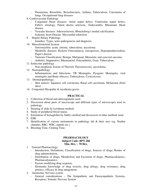- Pneumonia, Bronchitis, Bronchiectasis, Asthma, Tuberculosis, Carcinoma of lungs, Occupational lung diseases
- 8. Cardiovascular Pathology
	- Congenital Heart diseases: Atrial septal defect, Ventricular septal defect, Fallot's tetralogy, Patent ductus arteriosu,. Endocarditis, Rheumatic Heart disease.
	- Vascular diseases: Atherosclerosis, Monckeberg's medial calcification.
	- Ischemic heart Disease: Myocardial infarction.
- 9. Hepato Biliary Pathology
	- Jaundice: Types, aetio-pathogenesis and diagnosis.
- 10. Musculoskeletal System
	- Osteomyelitis: acute, chronic, tuberculous, mycetoma
	- Metabolic diseases: Rickets/ Osteomalacia, osteoporosis, Hyperparathyroidism, Paget's disease.
	- Tumours Classification: Benign, Malignant, Metastatic and synovial sarcoma.
	- Arthritis: Suppurative, Rheumatoid. Osteoarthritis, Gout, Tuberculous.
- 11. Endocrine pathology
	- Non-neoplastic lesions of Thyroid: Thyrotoxicosis, myxedema,
- 12. Neuropathology
	- Inflammations and Infections: TB Meningitis, Pyogenic Meningitis, viral meningitis and Brain Abscess, Tuberculosis, Cysticercosis.
- 13. Dermatopathology:
	- Skin tumors: Squamos cell carcinoma, Basal cell carcinoma, Melanoma (brief idea)
- 14. Congenital Myopathy & mysthenia gravis

- 1. Collection of blood and anticoagulants used..
- 2. Discussion about parts of microscope and different types of microscopes used in pathology.
- 3. Staining of slide by Leishman method.
- 4. Study of peripheral blood smear.
- 5. Estimation of hemaglobin by Sahli's method and discussion of other methods used.
- 6. ESR
- 7. Identification of various instruments in pathology lab & their uses (eg. Neubar chamber, RBC, WBC, pipette etc.).
- 8. Bleeding Time, Clotting Time.

#### **PHARMACOLOGY Subject Code: BPT-206 Min. Hrs. : 70 Hrs.**

- 1. General Pharmacology:
	- Introduction, Definitions, Classification of drugs, Sources of drugs, Routes of drug administration,
	- Distribution of drugs, Metabolism and Excretion of drugs, Pharmacokinetics, Pharmacodynamics,
	- Factors modifying drug response.
	- Elementry knowledge of drug toxicity, drug allergy, drug resistance, drug potency, efficacy & drug antagonism.
- 2. Autonomic Nervous system
	- General considerations The Sympathetic and Parasympathetic Systems, Receptors, Somatic Nervous System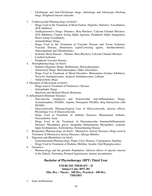- Cholinergic and Anti-Cholinergic drugs, Adrenergic and Adrenergic blocking drugs, Peripheral muscle relaxants.
- 3. Cardiovascular Pharmacology (in brief) :
	- Drugs Used in the Treatment of Heart Failure: Digitalis, Diuretics, Vasodilators, ACE inhibitors
	- Antihypertensive Drugs: Diuretics, Beta Blockers, Calcium Channel Blockers, ACE Inhibitors, Central Acting Alpha Agonists, Peripheral Alpha Antagonists, Direct acting Vasodilators
	- Antiarrhythmic Drugs
	- Drugs Used in the Treatment of Vascular Disease and Tissue Ischemia: Vascular Disease, Hemostasis Lipid-Lowering agents, Antithrombotics, Anticoagulants and Thrombolytics
	- Ischemic Heart Disease Nitrates, Beta-Blockers, Calcium Channel Blockers
	- Cerebral Ischemia
	- Peripheral Vascular Disease
- 4. Neuropharmacology (in brief) :
	- Sedative-Hypnotic Drugs: Barbiturates, Benzodiazepines
	- Antianxiety Drugs: Benzodiazepines, Other Anxiolytics
	- Drugs Used in Treatment of Mood Disorders: Monoamine Oxidase Inhibitors, Tricyclic Antidepressants, Atypical Antidepressants, Lithium
	- Antipsychotic drugs
- 5. Disorders of Movement (in brief) :
	- Drugs used in Treatment of Parkinson's Disease
	- Antiepileptic Drugs
	- Spasticity and Skeletal Muscle Relaxants
- 6. Inflammatory/Immune Diseases-
	- Non-narcotic Analgesics and Nonsteroidal Anti-Inflammatory Drugs: Acetaminophen, NSAIDs, Aspirin, Nonaspirin NSAIDs, drug Interactions with NSAIDs
	- Glucocorticoids: Pharmacological Uses of Glucocorticoids, adverse effects, Physiologic Use of Glucocorticoids
	- Drugs Used in Treatment of Arthritic Diseases: Rheumatoid Arthritis, Osteoarthritis, Gout
	- Drugs Used in the Treatment of Neuromuscular Immune/Inflammatory Diseases: Myasthenia gravis, Idiopathic Inflammatory Myopathies, systemic lupus Erythmatosus, Scleroderma, Demyelinating Disease
- 7. Respiratory Pharmacology (in brief) : Obstructive Airway Diseases, Drugs used in Treatment of Obstructive airway Diseases, Allergic Rhinitis
- 8. Digestion and Metabolism (in brief):
	- Gastrointestinal Pharmacology: Peptic Ulcer Disease, Constipation, Diarrhea
	- Drugs Used in Treatment of Diabetes Mellitus: Insulin, Oral Hypoglycemics
- 9. Geriatrics:
	- Pharmacology and the geriatric Population: Adverse effects of special concern in the Elderly, Dementia, Postural hypotension, urinary incontinence.

## **Bachelor of Physiotherapy (BPT) Third Year**

## **EXERCISE THERAPY – II Subject Code: BPT-301 Min. Hrs. : Theory - 100 Hrs., Practical - 100 Hrs. THEORY**

1. Joint mobilization: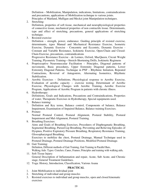Definition – Mobilization, Manipulation, indications, limitations, contraindications and precautions, applications of Mobilization technique to various joints. Principles of Maitland, Mulligan and Meckzi joint Manipulation techniques.

2. Stretching:

Definition, properties of soft tissue, mechanical and neurophysiological properties of connective tissue, mechanical properties of non contractile tissue. Determinants, type and effect of stretching, precautions, general applications of stretching technique.

3. Resisted exercise:

Definition – strength, power, endurance. Guiding principle of resisted exercise, determinants, types Manual and Mechanical Resistance Exercise, Isometric Exercise, Dynamic Exercise - Concentric and Eccentric, Dynamic Exercise - Constant and Variable Resistance, Isokinetic Exercise, Open-Chain and Closed-Chain Exercise, precautions, contraindications

Progressive Resistance Exercise - de Lormes, Oxford, MacQueen, Circuit Weight Training, Plyometric Training—Stretch-Shortening Drills, Isokinetic Regimens

- 4. Proprioceptive Neuromuscular Facilitation Principles, Diagonal patterns of movements, Basic procedures, Upper Extremity Diagonal patterns, Lower Extremity Diagonal Patterns. Technique in PNF – Rhythmic Initiation, Repeated Contractions, Reversal of Antagonists, Alternating Isometrics, Rhythmic Stabilization.
- 5. Aerobic Exercises Definitions, Physiological response to Aerobic Exercise, Evaluation of aerobic capacity – exercise testing, Determinant of Aerobic Exercise, Physiological Changes with Aerobic Training, Aerobic Exercise Program, Applications of Aerobic Program in patients with chronic illness.
- 6. Hydrotherapy: Definitions, Goals and Indications, Precautions and Contraindications, Properties of water, Therapeutic Exercises in Hydrotherapy, Special equipments used.
- 7. Balance training: Definition and Key terms, Balance control, Components of balance, Balance Impairment, Examination of Impaired Balance, Balance training Exercises.
- 8. Posture:

 Normal Postural Control, Postural Alignment, Postural Stability, Postural Impairment and Mal-Alignment, Postural Training.

9. Breathing Exercises: Aims and Goals of Breathing Exercises, Procedures of Diaphragmatic Breathing, Segmental Breathing, Pursed-Lip Breathing, Preventing and Relieving Episodes of Dyspnea, Positive Expiratory Pressure Breathing, Respiratory Resistance Training, Glossopharyngeal Breathing.

 Exercises to mobilize the chest, Postural Drainage, Manual Technique used in Postural Drainage, Postural Drainage Positions, Modified Postural Drainage.

- 10. Gait Training: Definition, Different methods of Gait Training, Gait Training in Parallel Bars, Walking Aids: Types: Crutches, Canes, Frames; Principles and training with walking aids**.**
- 11. Soft Tissue Injury: General Description of Inflammation and repair, Acute, Sub Acute, and Chronic stage, General Treatment Guidelines.
- 12. Yoga: History, Introduction, Classification, Various Asana

## **PRACTICAL**

- 1. Joint Mobilisation to individual joint
- 2. Stretching of individual and group muscles
- 3. Resisted exercises to individual and group muscles, open and closed kinematic exercises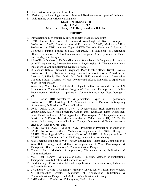- 4. PNF patterns to upper and lower limb.
- 5. Various types breathing exercises, chest mobilization exercises, postural drainage
- 6. Gait training with various walking aids

## **ELCTROTHERAPY - II Subject Code: BPT 302 Min. Hrs. : Theory - 100 Hrs., Practical - 100 Hrs.**

#### **THEORY**

- 1. Introduction to high frequency current, Electro Magnetic Spectrum
- 2. SWD: Define short wave, Frequency & Wavelength of SWD, Principle of Production of SWD, Circuit diagram & Production of SWD, Methods of Heat Production by SWD treatment, Types of SWD Electrode, Placement & Spacing of Electrodes, Tuning, Testing of SWD Apparatus, Physiological & Therapeutic effects, Indications & Contraindications, Dangers, Dosage parameters. Pulsed Electro Magnetic Energy
- 3. Micro Wave Diathermy: Define Microwave, Wave length & Frequency, Production of MW, Applicators, Dosage Parameters, Physiological & Therapeutic effects, Indications & Contraindications, Dangers of MWD.
- 4. Ultrasound: Define Ultrasound, Frequency, Piezo Electric effects: Direct, Reverse, Production of US, Treatment Dosage parameters: Continous & Pulsed mode, Intensity, US Fields: Near field, Far field, Half value distance, Attenuation, Coupling Media, Thermal effects, Nonthermal effects, Principles & Application of US: Direct contact,

Water bag, Water bath, Solid sterile gel pack method for wound. Uses of US, Indications & Contraindications, Dangers of Ultrasound. Phonophoresis: Define Phonophoresis, Methods of application, Commonly used drugs, Uses. Dosages of US.

- 5. IRR: Define IRR, wavelength & parameters, Types of IR generators, Production of IR, Physiological & Therapeutic effects, Duration & frequency of treatment, Indication & Contraindication.
- 6. UVR: Define UVR, Types of UVR, UVR generators: High pressure mercury vapour lamp, Water cooled mercury vapour lamp, Kromayer lamp, Fluorescent tube, Theraktin tunnel PUVA apparatus. Physiological & Therapeutic effects. Sensitizers & Filters. Test dosage calculation. Calculation of E1, E2, E3, E4 doses. Indications, contraindications. Dangers Dosages for different therapeutic effects, Distance in UVR lamp.
- 7. LASER: Define LASER. Types of LASER. Principles of Production. Production of LASER by various methods. Methods of application of LASER. Dosage of LASER. Physiological &Therapeutic effects of LASER. Safety precautions of LASER. Classifications of LASER Energy density & power density.
- 8. Wax Therapy: Principle of Wax Therapy application latent Heat, Composition of Wax Bath Therapy unit, Methods of application of Wax, Physiological & Therapeutic effects, Indications & Contraindication, Dangers.
- 9. Contrast Bath: Methods of application, Therapeutic uses, Indications & Contraindications.
- 10. Moist Heat Therapy: Hydro collator packs in brief, Methods of applications, Therapeutic uses, Indications & Contraindications.
- 11. Fluidotherapy: Construction, Method of application, Therapeutic uses, Indications & Contraindications.
- 12. Cryotherapy: Define- Cryotherapy, Principle- Latent heat of fusion, Physiological & Therapeutics effects, Techniques of Applications, Indications & Contraindications, Dangers, and Methods of application with dosage.
- 13. EMG and Nerve Conduction Velocity test, Biofeed back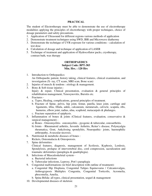The student of Electrotherapy must be able to demonstrate the use of electrotherapy modalities applying the principles of electrotherapy with proper techniques, choice of dosage parameters and safety precautions.

- 1. Application of Ultrasound for different regions-various methods of application
- 2. Demonstrate treatment techniques using SWD, IRR and Microwave diathermy
- 3. Demonstrate the technique of UVR exposure for various conditions calculation of test dose
- 4. Calculation of dosage and technique of application of LASER
- 5. Technique of treatment and application of Hydrocollator packs, cryotherapy, contrast bath, wax therapy

#### **ORTHOPAEDICS Subject Code: BPT-303 Min. Hrs. : 120 Hrs**

- 1. Introduction to Orthopaedics: An Orthopaedic patient, history taking, clinical features, clinical examination, and investigation (X- ray, CT scans, MRI scan, Bone scan)
- 2. Injuries of muscle & tendons : etiology & management.
- 3. Bony & Soft tissue injuries : Injury & repair, Clinical presentation, evaluation & general principles of rehabilitation management, Tenosynovitis, Bursitis etc.
- 4. Fractures
	- a. Types, Healing, complications, general principles of treatment.
	- b. Fracture of Spine, pelvis, hip joint, femur, patella, knee joint, cartilage and ligaments, tibia, fibula, ankle, calcaneum, metatarsals, calvicle, scapula, ribs, humerus, elbow joint, radius, ulna, scaphoid, metacarpals & phalanges.
	- c. Fracture separation of epiphysis.
- 5. Inflammation of bones & joints (Clinical features, evaluation, conservative & surgical management)
	- a) Bones Osteomyelitis- osteomyelitis pyogenic & tubercular, osteoarthritis.
	- b) Joints Rheumatoid arthritis, Juvenile Arthritis, Reiter's disease, Polymyalgia rheumatica, Gout, Ankylosing spondylitis, Neuropathic- joints, haemophilic arthropathy, Avascular necrosis.
- 6. Nutritional & metabolic diseases of bones :
	- Rickets, Osteomalacia & Osteoporosis.
- 7. Spine deformities:

 Clinical features, diagnosis, management of Scoliosis, Kyphosis, Lordosis, Spondylosis, prolapse of intervertebral disc, cord compression, sacralization and traumatic deformities (paraplegia & quadriplegia).

- 8. Infections of Musculoskeletal system
	- a. Bacterial infections
	- b. Tubercular infections, Leprosy, Pott's paraplegia
- 9. Congenital malformations (in brief description with outline of treatment):
	- a. Congenital Hip Displasia, Congenital Talipes Equinovarus / Calcaniovalgus, Arthrogryposis Multiplex Congenita, Congenital Torticolis, Acromelia, phocomelia, Amelia,
	- b. Spina Bifida: all types, clinical presentation, sequel & management
- 10. Developmental diseases of skeleton: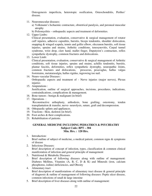Osteogenesis imperfecta, heterotopic ossification, Osteochondritis, Perthes' disease.

- 11. Neuromuscular diseases:
	- a) Volkmann's Ischaemic contracture, obstetrical paralysis, and peroneal muscular atrophy
	- b) Poliomyelitis orthopaedic aspects and treatment of deformities.
- 12. Upper Limbs:

 Clinical presentation, evaluation, conservative & surgical management of rotator cuff injuries, adhesive capsulitis, bursitis, biceps tendonitis, shoulder dislocation, snapping & winged scapula, tennis and golfer elbow, olecranon bursitis, soft tissue injuries, sprains and strains, Arthritic conditions, tenosynovitis, Carpal tunnel syndrome, wrist drop, claw hand, mallet finger, Duputyren's contracture, reflex sympathetic dystrophy, common fractures and dislocations.

13. Lower Limb:

 Clinical presentation, evaluation, conservative & surgical management of Arthritic conditions, soft tissue injuries, sprains and strains, achillis tendonitis, bursitis, plantar fascitis, deformities, reflex sympathetic dystrophy, neuropathic Joints, common fractures and dislocations, prescavus, pesavaglus, hallus valgus footstrains, metatarasalgia, hallus rigidus, ingrowing toe nail.

- 14. Neuro-vascular Diseases : Orthopaedic aspects and treatment of - Nerve injuries (major nerves), Plexus injuries
- 15. Amputations :

 Justification, outline of surgical approaches, incisions, procedures, indications, contraindications, complications & management.

- 16. Bone tumors : benign & malignant (in brief)
- 17. Operations : Reconstructive arthoplasty, arthodesis, bone grafting, osteotomy, tenden transplantation & transfer, nerve- neurolysis, suture, graft and decompression.
- 18. Othopaedic splints and appliances.
- 19. Tractions : Skin, skeleton (in brief).
- 20. Foot arches & their complications.
- 21. Rehabilitation of patients.

## **GENERAL MEDICINE INCLUDING PEDIATRICS & PSYCHIATRY Subject Code: BPT – 304 Min. Hrs. : 120 Hrs.**

1. Introduction:

Brief outline of subject of medicine, a medical patient, common signs & symptoms of disease

- 2. Infectious Diseases: Brief description of concept of infection, types, classification & common clinical manifestation of infection and general principle of management
- 3. Nutritional & Metabolic Diseases:

Brief description of following diseases along with outline of management: Diabetes Mellitus, Vitamins (A, B, C, D & K) and Minerals (iron, calcium phosphorus, iodine) deficiencies, and Obesity

- 4. Alimentary tract: Brief description of manifestations of alimentary tract disease & general principle of diagnosis & outline of management of following diseases: Peptic ulcer disease, common infections of small & large intestine
- 5. Brief description of liver diseases along with outline of management: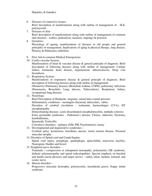- 6. Diseases of connective tissues: Brief description of manifestations along with outline of management of - SLE, polymyositis
- 7. Diseases of skin: Brief description of manifestations along with outline of management of common skin diseases - scabies, pediculosis, taeniasis, impetigo & psoriasis
- 8. Geriatrics-

Physiology of ageing, manifestations of diseases in old people and general principles of management. Implications of aging in physical therapy. lung disease, Pleurisy & Pulmonary embolism

- 9. First Aid in common Medical Emergencies
- 10. Cardio-vascular System:

Manifestations of heart & vascular disease & general principle of diagnosis. Brief description of following diseases along with outline of management: Cardiac failure, Ischaemic heart disease, hypertension, atherosclerosis, Deep vein thrombosis

11. Respiratory System:

Manifestations of respiratory disease & general principle of diagnosis. Brief description of following diseases along with outline of management:

Obstructive Pulmonary diseases (Bronchial Asthma, COPD), pulmonary infections (Pneumonia, Bronchitis, Lung abscess, Tuberculosis), Respiratory failure, occupational lung diseases

12. Neurology:

Brief Description of Headache, migraine, raised intra-cranial pressure.

Inflammatory conditions – meningitis (bacterial, tubercular), rabies

Disorders of cerebral circulation - ischaemia, haemorrhages (CVA), HT encephalopathy

Demyelinating diseases- acute disseminated encephalomyelitis, multiple sclerosis Extra pyramidal syndromes - Parkinson's disease, Chorea, Athetosis, Dystonia, hemiballismus,

Spasmodic Torticollis

Convulsive disorders - epilepsy (GM, PM, Psychomotor), tetany

- 13. Developmental and degenerative syndromes Cerebral palsy, kernicterus, hereditary ataxias, motor neuron disease, Peroneal muscular atrophy
- 14. Disorders of Spinal cord and Cauda Equina-Spinal cord injury, paraplegia, quadriplegia, spina-bifida, transverse myelitis, Neurogenic bladder and bowel
- 15. Peripheral nerve disorders –

Traumatic / compression or entrapment neuropathy, polyneuritis, GB syndrome, diabetic polyneuropathy and spinal radiculopathies. Special emphasis on brachial and lumbo-sacral plexuses and major nerves – radial, ulnar, median, femoral, and sciatic nerve

16. Muscle disorders –

Progressive muscular dystrophy, polymyositis, myasthenia gravis, floppy infant syndrome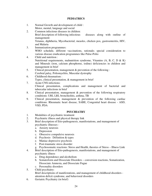### **PEDIATRICS**

- 1. Normal Growth and development of child : Motor, mental, language and social
- 2. Common infectious diseases in children: Brief description of following infectious diseases along with outline of management: Tetanus, diphtheria, Mycobacterial, measles, chicken pox, gastroenteritis, HIV, and Malaria
- 3. Immunization programmes: WHO schedule, different vaccinations, rationale; special consideration to various disease eradication programmes like Pulse-Polio
- 4. Child and nutrition : Nutritional requirements, malnutrition syndrome, Vitamins  $(A, B, C, D & K)$ and Minerals (iron, calcium phosphorus, iodine) deficiencies in children and management in brief
- 5. Clinical presentation, management & prevention of the following : Cerebral palsy, Poliomyelitis, Muscular dystrophy
- 6. Childhood rheumatism : Types, clinical presentation, & management in brief
- 7. Acute CNS infections: Clinical presentation, complications and management of bacterial and tubercular infections in brief
- 8. Clinical presentation, management & prevention of the following respiratory conditions: URI, LRI, bronchiolitis, asthma, TB
- 9. Clinical presentation, management & prevention of the following cardiac conditions: Rheumatic heart disease, SABE, Congenital heart disease - ASD, VSD, PDA

#### **PSYCHIATRY**

- 1. Modalities of psychiatric treatment
- 2. Psychiatric illness and physical therapy link
- 3. Brief description of Etio-pathogenesis, manifestations, and management of psychiatric illnesses
	- a. Anxiety neurosis
	- b. Depression
	- c. Obsessive compulsive neurosis
	- d. Psychosis- Définition & types
	- e. Maniac-depressive psychosis
	- f. Post-traumatic stress disorder
	- g. Psychosomatic reactions: Stress and Health, theories of Stress Illness Link
- 4. Brief description of Etio-pathogenesis, manifestations, and management of psychiatric illness
	- a. Drug dependence and alcoholism
	- b. Somatoform and Dissociate Disorders conversion reactions, Somatization, Dissociate Amnesia, and Dissociate Fugue
	- c. Personality disorders
- 5. Child psychiatry:

Brief descriptions of manifestations, and management of childhood disorders attention deficit syndrome, and behavioral disorders

6. Geriatric Psychiatry (in brief)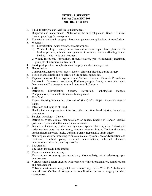## **GENERAL SURGERY Subject Code: BPT-305 Min. Hrs. : 100 Hrs.**

- 1. Fluid, Electrolyte and Acid-Base disturbances Diagnosis and management ; Nutrition in the surgical patient., Shock - Clinical feature, pathology & management.
- 2. Transfusion therapy in surgery blood components, complications of transfusion .
- 3. Wounds :
	- a) Classification, acute wounds, chronic wounds.
	- b) Wound healing Basic process involved in wound repair, basic phases in the healing process, clinical management of wounds, factors affecting wound healing, scars - type and treatment.
	- c) Wound Infections, physiology & manifestation, types of infections, treatment, principle of antimicrobial treatment.
- 4. Pre & postoperative complications of surgery and their management.
- 5. Hemostasis Components, hemostatic disorders, factors affecting bleeding during surgery.
- 6. Types of anaesthesia and its affects on the patient, pain relief.
- 7. Types of Incisons ; Clips Ligatures and Sutures; General Thoracic Procedures, Radiologic Diagnostic procedures, Endoscopy–types, Biopsy – uses and types. Overview and Drainage systems and tubes used in Surgery.
- 8. Burn:

Definition, Classification, Causes, Prevention, Pathological changes, Complications, Clinical Features and Management.

- 9. Skin Grafts : Types, Grafting Procedures, Survival of Skin Graft ; Flaps – Types and uses of Flaps.
- 10. Infections and injuries of Hand :

Hand infection, suppurativve infection, other infection, hand injuries, dupuytrens contracture.

- 11. Surgical Oncology Cancer Definition, types, clinical manifestations of cancer, Staging of Cancer, surgical procedures involved in the management of cancer.
- 12. Disorders of muslces, tendons and ligaments, sports related injuries. Periarticular inflammations acte muslce injury, chronic muscles injury, Tendon disorders, tendon sheath disorder, fascia, Ganglia, Bursae, Repeatative strain injury.
- 13. Neurological disorder affecting to musclo-skeletal system. , Motor dysfunction and treatment, cerebral palsy, acquired abnormalities, inherited disorder, neuromuscular disorder, sensory disorder.
- 14. The cranium : The scalp, the skull, head injuries.
- 15. Thoracic and cardiac surgery : Thoracotomy, lobectomy, pneumonectomy, thoracoplasty, mitral valvotomy, open heart surgery.
- 16. Various surgical heart diseases with respect to clinical presentation, complications and management -

Valvular heart disease, congenital heart disease –e.g., ASD, VSD, PDA, Ischaemic heart disease. Outline of postoperative complications in cardiac surgery and their management.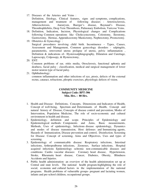- 17. Diseases of the Arteries and Veins : Definition, Etiology, Clinical features, signs and symptoms, complications, management and treatment of following diseases : Arteriosclerosis, Atherosclerosis, Aneurysm, Buerger's disease, Raynaud's Disease, Thrombophlebitis, Deep Vein Thrombosis, Pulmonary Embolism, Varicose Veins.
- 18. Definition, Indication, Incision, Physiological changes and Complications following Common operations like Cholecystectomy, Colostomy, Ileostomy, Gastrectomy, Hernias, Appendicectomy Mastectomy, Nephrectomy, Prostectomy.
- 19. Obstetrics & Gynecology : Surgical procedures involving child birth. Incontinence – Types, Causes, Assessment and Management, Common gynecology disorders - salpingitis, parameteritis, retroverted uterus prolapse of uterus, pelvic inflammation , Definition & indications of– Hysterosalphingography, Dilatation and Curettage, Laproscopy, Colposopy, & Hysterectomy,
- 20. ENT:

Common problems of ear, otitis media, Otosclerosis, functional aphonia and deafness, facial palsy - classification, medical and surgical management of lower motor neuron type of facial palsy.

21. Ophthalmology:

common inflammation and other infections of eye, ptosis, defects of the external rectus, cataract, refractions, pleoptic exercises, physiologic defects of vision.

## **COMMUNITY MEDICINE Subject Code: BPT-306 Min. Hrs. : 80 Hrs.**

- 1. Health and Disease: Definitions, Concepts, Dimensions and Indicators of Health, Concept of well-being, Spectrum and Determinants of Health, Concept and natural history of Disease, Concepts of disease control and prevention, Modes of Intervention, Population Medicine, The role of socio-economic and cultural environment in health and disease.
- 2. Epidemiology, definition and scope. Principles of Epidemiology and Epidemiological methods: Components and Aims, Basic measurements, Methods, Uses of epidemiology, Infectious disease epidemiology, Dynamics and modes of disease transmission, Host defenses and Immunizing agents, Hazards of Immunization, Disease prevention and control, Disinfection. Screening for Disease: Concept of screening, Aims and Objectives, Uses and types of screening.
- 3. Epidemiology of communicable disease: Respiratory infections, Intestinal infections, Arthropodborne infections, Zoonoses, Surface infections, Hospital acquired infections Epidemiology ochronic non-communicable diseases and conditions: Cardio vascular diseases: Coronary heart disease, Hypertension, Stroke, Rheumatic heart disease, Cancer, Diabetes, Obesity, Blindness Accidents and Injuries.
- 4. Public health administration- an overview of the health administration set up at Central and state levels. The national health program-highlighting the role of social, economic and cultural factors in the implementation of the national programs. Health problems of vulnerable groups- pregnant and lactating women, infants and pre-school children, occupational groups.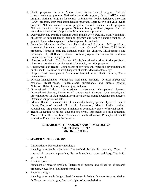- 5. Health programs in India: Vector borne disease control program, National leprosy eradication program, National tuberculosis program, National AIDS control program, National program for control of blindness, Iodine deficiency disorders (IDD) program, Universal Immunisation program, Reproductive and child health program, National cancer control program, National mental health program. National diabetes control program, National family welfare program, National sanitation and water supply program, Minimum needs program.
- 6. Demography and Family Planning: Demographic cycle, Fertility, Family planningobjectives of national family planning program and family planning methods, A general idea of advantage and disadvantages of the methods.
- 7. Preventive Medicine in Obstetrics, Paediatrics and Geriatrics: MCH problems, Antenatal, Intranatal and post natal care, Care of children, Child health problems, Rights of child and National policy for children, MCH services and indicators of MCH care, Social welfare program for women and children, Preventive medicine and geriatrics.
- 8. Nutrition and Health: Classification of foods, Nutritional profiles of principal foods, Nutritional problems in public health, Community nutrition program.
- 9. Environment and Health: Components of environment, Water and air pollution and public health: Pollution control, Disposal of waste, Medical entomology.
- 10. Hospital waste management: Sources of hospital waste, Health hazards, Waste management.
- 11. Disaster Management: Natural and man made disasters, Disaster impact and response, Relief phase, Epidemiologic surveillance and disease control, Nutrition, Rehabilitation, Disaster preparedness.
- 12. Occupational Health: Occupational environment, Occupational hazards, Occupational diseases, Prevention of occupational diseases. Social security and other measures for the protection from occupational hazard accidents and diseases. Details of compensation acts.
- 13. Mental Health: Characteristics of a mentally healthy person, Types of mental illness, Causes of mental ill health, Prevention, Mental health services, Alcohol and drug dependence. Emphasis on community aspects of mental health.
- 14. Health Education: Concepts, aims and objectives, Approaches to health education, Models of health education, Contents of health education, Principles of health education, Practice of health education.

## **RESEARCH METHODOLOGY AND BIOSTATISTICS Subject Code: BPT 307 Min. Hrs. : 100 Hrs.**

#### **RESEARCH METHODOLOGY**

1. Introduction to Research methodology:

Meaning of research, objectives of research,Motivation in research, Types of research & research approaches, Research methods vs methodology, Criteria for good research.

2. Research problem:

Statement of research problem, Statement of purpose and objectives of research problem, Necessity of defining the problem

3. Research design:

Meaning of research design, Need for research design, Features for good design, Different research designs, Basic principles of research design.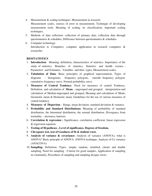4. Measurement & scaling techniques: Measurement in research-

Measurement scales, sources of error in measurement, Technique of developing measurement tools, Meaning of scaling, its classification, important scaling techniques.

- 5. Methods of data collection: collection of primary data, collection data through questionnaires  $\&$  schedules, Difference between questionnaires  $\&$  schedules.
- 6. Computer technology: Introduction to Computers, computer application in research computers  $\&$ researcher.

## **BIOSTATISTICS**

- 1. **Introduction**: Meaning, definition, characteristics of statistics. Importance of the study of statistics, Branches of statistics, Statistics and health science , Parameters and Estimates, Variables and their types, Measurement scales.
- 2. **Tabulation of Data**: Basic principles of graphical representation, Types of diagrams – histograms, frequency polygons, smooth frequency polygon, cumulative frequency curve, Normal probability curve.
- 3. **Measures of Central Tendency**: Need for measures of central Tendency, Definition and calculation of **Mean** – ungrouped and grouped, interpretation and calculation of Median-ungrouped and grouped, Meaning and calculation of Mode, Geometric mean & Hormonic mean, Guidelines for the use of various measures of central tendency.
- 4. **Measures of Dispersion** : Range, mean deviation, standard deviation & variance.
- 5. **Probability and Standard Distributions:** Meaning of probability of standard distribution, the binominal distribution, the normal distribution, Divergence from normality – skewness, kurtosis.
- 6. **Correlation & regression :** Significance, correlation coefficient, linear regression & regression equation.
- 7. **Testing of Hypotheses , Level of significance, Degrees of freedom.**
- 8. **Chi-square test, test of Goodness of fit & student t-test.**
- 9. **Analysis of variance & covariance:** Analysis of variance (ANOVA), what is ANOVA? Basic principle of ANOVA, ANOVA technique, Analysis of Co variance (ANACOVA)
- 10. **Sampling:** Definition, Types- simple, random, stratified, cluster and double sampling. Need for sampling - Criteria for good samples, Application of sampling in community, Procedures of sampling and sampling designs errors.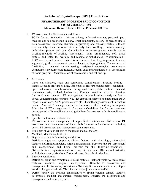## **Bachelor of Physiotherapy (BPT) Fourth Year**

## **PHYSIOTHERAPY IN ORTHOPEADIC CONDITIONS Subject Code: BPT – 401 Minimum Hours: Theory-80 Hrs., Practical-100 Hrs.**

1. PT assessment for Orthopedic conditions -

 SOAP format. Subjective - history taking, informed consent, personal, past, medical and socioeconomic history, chief complaints, history of present illness. Pain assessment- intensity, character, aggravating and relieving factors, site and location. Objective- on observation - body built swelling, muscle atrophy, deformities, posture and gait. On palpation- tenderness-grades, muscle spasm, swelling-methods of swelling assessment, bony prominences, soft tissue texture and integrity, warmth and vasomotor disturbances. On examination – ROM – active and passive, resisted isometric tests, limb length-apparent, true and segmental, girth measurement, muscle length testing-tightness, Contracture and flexibility, manual muscle testing, peripheral neurological examination dermatomes, myotomes and reflexes, special tests and functional tests. Prescription of home program. Documentation of case records, and follows up.

2. Fractures -

 types, classification, signs and symptoms, complications. Fracture healing – factors affecting fracture healing. Principles of fracture management - reduction open and closed, immobilization - sling, cast, brace, slab, traction - manual, mechanical, skin, skeletal, lumbar and Cervical traction, external fixation, functional cast bracing. PT management in complications - early and late shock, compartmental syndrome, VIC, fat embolism, delayed and mal union, RSD, myositis ossificans, AVN, pressure sores etc. Physiotherapy assessment in fracture cases. Aims of PT management in fracture cases - short and long term goals. Principles of PT management in fractures - Guidelines for fracture treatment during period of immobilization and guidelines for treatment after immobilization period.

3. Specific fractures and dislocations:

 PT assessment and management of upper limb fractures and dislocations. PT assessment and management of lower limb fractures and dislocations including pelvis. PT assessment and management spinal fractures.

- 4. Principles of various schools of thought in manual therapy Maitland, Mackenzie, Mulligan
- 5. Degenerative and inflammatory conditions: Definition, signs and symptoms, clinical features, path physiology, radiological features, deformities, medical, surgical management. Describe the PT assessment and management and home program for the following conditions – Osteoarthritis - emphasis mainly on knee, hip and hand, Rheumatoid Arthritis, Ankylosing spondylitis, Gout, Perthes disease, Periarthritic shoulder.
- 6. Infective conditions: Definition, signs and symptoms, clinical features, pathophysiology, radiological features, medical, surgical management. Describe PT assessment and management for following conditions – Osteomyelitis – acute and chronic, Septic arthritis, Pyogenic arthritis, TB spine and major joints - knee and hip.
- 7. Define; review the postural abnormalities of spinal column, clinical features, deformities, medical and surgical management. Describe PT assessment and management and home program.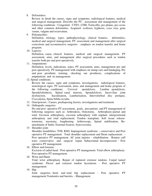8. Deformities:

 Review in detail the causes, signs and symptoms, radiological features, medical and surgical management. Describe the PT. assessment and management of the following conditions : Congenital : CTEV, CDH, Torticollis, pes planus, pes cavus and other common deformities. Acquired: scoliosis, kyphosis, coxa vera, genu varum, valgum and recurvatum.

9. Poliomyelitis:

 Definition, etiology, types, pathophysiology, clinical features, deformities, medical and surgical management. PT. assessment and management after surgical corrections and reconstructive surgeries - emphasis on tendon transfer and home program.

10. Leprosy:

 Definition, cause, clinical features, medical and surgical management. PT assessment, aims, and management after surgical procedures such as tendon transfer both pre and post operatively.

11. Amputations:

 Definition, levels, indications, types, PT assessment, aims, management pre and post operatively. PT management with emphasis on stump care and bandaging. Pre and post prosthetic training, checking out prosthesis, complications of amputations and its management.

12. Spinal conditions:

 Review the causes, signs and symptoms, investigations, radiological features, neurological signs. PT assessment, aims, and management and home program of the following conditions: Cervical spondylosis, Lumbar spondylosis, Spondylolisthesis, Spinal canal stenosis, Spondylolysis, Sacro-iliac joint dysfunction, Sacralisation, Lumbarisation, Intervertebral disc prolapse, Coccydynia, Spina bifida occulta.

- 13. Osteoporosis : Causes, predisposing factors, investigations and treatment.
- 14. Orthopedic surgeries:

 Pre and post operative PT assessment, goals, precautions and PT management of following surgeries such as: Arthrodesis, Osteotomy, Arthroplasty-partial and total- Excision arthroplasty, excision arthroplasty with implant, interpositional arthroplasty and total replacement; Tendon transplant, Soft tissue releasetenotomy, myotomy, lengthening; Arthroscopy, Spinal stabilization, Reattachment of limbs, External fixators, Synovectomy.

15. Shoulder joint:

 Shoulder instabilities, TOS, RSD, Impingement syndrome – conservative and Post operative PT management. Total shoulder replacement and Hemi replacement. - Post operative PT management. AC joint injuries - rehabilitation. Rotator cuff tears- conservative and surgical repair. Subacromial decompression - Post operative PT management.

16. Elbow and forearm:

 Excision of radial head - Post operative PT management. Total elbow arthroplasty-Post operative PT management.

18. Wrist and Hand:

 Total wrist arthroplasty. Repair of ruptured extensor tendons. Carpal tunnel syndrome. Flexor and extensor tendon lacerations - Post operative PT management.

19. Hip:

 Joint surgeries- hemi and total hip replacement - Post operative PT management Tendonitis and bursitis. - Management.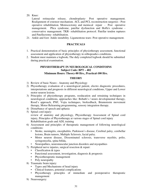20. Knee:

 Lateral retinacular release, chondroplasty- Post operative management. Realignment of extensor mechanism. ACL and PCL reconstruction surgeries - Post operative rehabilitation. Meniscectomy and meniscal repair - Post operative management. Plica syndrome, patellar dysfunction and Hoffa's syndrome conservative management. TKR- rehabilitation protocol. Patellar tendon ruptures and Patellectomy- rehabilitation.

21. Ankle and foot: Ankle instability. Ligamentous tears- Post operative management.

#### **PRACTICALS**

- 1. Practical demonstration of basic principles of physiotherapy assessment, functional assessment and application of physiotherapy in orthopeadics conditions.
- 2. Student must maintain a logbook**.** The duly completed logbook should be submitted during practical examination.

## **PHYSIOTHERAPY IN NEUROLOGICAL CONDITOINS Subject Code: BPT – 402 Minimum Hours: Theory-80 Hrs., Practical-100 Hrs.**

#### **THEORY**

- 1) Review of basic Neuro Anatomy and Physiology
- 2) Physiotherapy evaluation of a neurological patient, electro diagnostic procedures, interpretations and prognosis in different neurological conditions, Upper and Lower motor neuron lesions.
- 3) Principles of physiotherapy programs, reeducation and retraining techniques in neurological conditions, approaches like: Bobath's / neuro developmental therapy, Rood's approach, PNF, Vojta techniques, biofeedback, Brunnstorm movement therapy, Motor Relearning programming, sensory integration therapy.
- 4) Disturbance of speech and aphasia
- 5) Spinal cord injury:

review of anatomy and physiology, Physiotherapy Assessment of Spinal cord injury, Principles of Physiotherapy at various stages of Spinal cord injury Rehabilitation goals and ADL training

- 6) Assessment and principles of therapeutic management of following neurological conditions:
	- Stroke, meningitis, encephalitis, Parkinson's disease, Cerebral palsy, cerebellar lesions, Brain tumors, Multiple Sclerosis, facial palsy.
	- Motor neuron disease, Disseminated sclerosis, transverse myelitis, polio, syringomyelia, spina bifida,
	- Neuropathies, neuromuscular junction disorders and myopathies
- 7) Peripheral nerve injuries, surgical resection & repair:
	- Classification & types
	- Functional assessment, investigation, diagnosis & prognosis
	- Physiotherapeutic management
	- Poly neuropathy
- 8) Traumatic brain injury:
	- Types and Mechanisms of head injury
	- Clinical features, potential complications
	- Physiotherapy principles of immediate and postoperative therapeutic management
- 9) Neurosurgery: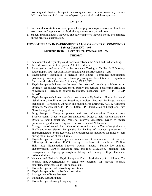Post surgical Physical therapy in neurosurgical procedures – craniotomy, shunts, SOL resection, surgical treatment of spasticity, cervical cord decompression.

#### **PRACTICAL**

- 1. Practical demonstration of basic principles of physiotherapy assessment, functional assessment and application of physiotherapy in neurology conditions.
- 2. Student must maintain a logbook**.** The duly completed logbook should be submitted during practical examination.

## **PHYSIOTHERAPY IN CARDIO-RESPIRATORY & GENERAL CONDITIONS Subject Code: BPT – 403**

## **Minimum Hours: Theory-80 Hrs., Practical-100 Hrs.**

#### **THEORY**

- 1. Anatomical and Physiological differences between the Adult and Pediatric lung.
- 2. Bedside assessment of the patient-Adult & Pediatric.
- 3. Investigations and tests Exercise tolerance Testing Cardiac & Pulmonary, Radiography, PFT, ABG, ECG, Hematological and Biochemical Tests
- 4. Physiotherapy techniques to increase lung volume controlled mobilization, positioning, breathing exercises, Neurophysiological Facilitation of Respiration, Mechanical aids - Incentive Spirometry, CPAP,IPPB
- 5. Physiotherapy techniques to decrease the work of breathing Measures to optimize the balance between energy supply and demand, positioning, Breathing re-education – Breathing control techniques, mechanical aids – IPPB, CPAP, BiPAP
- 6. Physiotherapy techniques to clear secretions Hydration, Humidification  $\&$ Nebulisation, Mobilisation and Breathing exercises, Postural Drainage, Manual techniques – Percussion, Vibration and Shaking, Rib Springing, ACBT, Autogenic Drainage, Mechanical Aids – PEP, Flutter, IPPB, Facilitation of Cough and Huff, Nasopharyngeal Suctioning
- 7. Drug therapy Drugs to prevent and treat inflammation, Drugs to treat Bronchospasm, Drugs to treat Breathlessness, Drugs to help sputum clearance, Drugs to inhibit coughing, Drugs to improve ventilation, Drugs to reduce pulmonary hypertension, Drug delivery doses, Inhaled Nebulisers.
- 8. Management of wound ulcers- Care of ulcers and wounds Care of surgical scars-U.V.R and other electro therapeutics for healing of wounds, prevention of Hypergranulated Scars Keoloids, Electrotherapeutics measures for relief of pain during mobilization of scars tissues
- 9. Physiotherapy in dermatology -Documentation of assessment, treatment and follow up skin conditions. U.V.R therapy in various skin conditions; Vitiligo; Hair loss; Pigmentation; Infected wounds ulcers. Faradic foot bath for Hyperhydrosis. Care of anesthetic hand and foot; Evaluation, planning and management of leprosy- prescription, fitting and training with prosthetic and orthotic devices.
- 10. Neonatal and Pediatric Physiotherapy Chest physiotherapy for children, The neonatal unit, Modifications of chest physiotherapy for specific neonatal disorders, Emergencies in the neonatal unit.
- 11. Physiotherapy in Obstructive lung conditions
- 12. Physiotherapy in Restrictive lung conditions.
- 13. Management of breathlessness.
- 14. Pulmonary Rehabilitation.
- 15. Physiotherapy following Lung surgeries.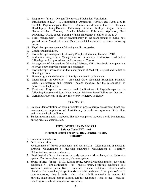- 16. Respiratory failure Oxygen Therapy and Mechanical Ventilation.
- Introduction to ICU : ICU monitoring –Apparatus, Airways and Tubes used in the ICU -Physiotherapy in the ICU – Common conditions in the ICU – Tetanus, Head Injury, Lung Disease, Pulmonary Oedema, Multiple Organ Failure, Neuromuscular Disease, Smoke Inhalation, Poisoning, Aspiration, Near Drowning, ARDS, Shock; Dealing with an Emergency Situation in the ICU.
- 17. Burns management Role of physiotherapy in the management of burns, post grafted cases- Mobilization and Musculo-skeletal restorative exercises following burns.
- 18. Physiotherapy management following cardiac surgeries.
- 19. Cardiac Rehabilitation.
- 20. Physiotherapy management following Peripheral Vascular Disease (PVD).
- 21. Abdominal Surgeries Management of Pulmonary Restorative Dysfunction following surgical procedures on Abdomen and Thorax.
- 22. Management of Amputations following Diabetes, PVD Prosthesis in amputations of lower limbs following ulcers and gangrenes
- 23. Physiotherapy intervention in the management of Medical, Surgical and Radiation Oncology Cases
- 24. Home program and education of family members in patient care.
- 25. Physiotherapy in Obstetrics Antenatal Care, Antenatal Education, Postnatal Care. Electrotherapy and Exercise Therapy measures for the re-education of Ano-Urethral sphincter.
- 26. Treatment, Response to exercise and Implications of Physiotherapy in the following disease conditions: Hypertension, Diabetes, Renal Failure and Obesity.
- 27. Geriatrics: Problems in old age, role of physiotherapy in elderly

- 1. Practical demonstration of basic principles of physiotherapy assessment, functional assessment and application of physiotherapy in cardio – respiratory, OBG, Skin, and other medical conditions.
- 2. Student must maintain a logbook**.** The duly completed logbook should be submitted during practical examination.

#### **PHYSIOTHERAPY IN SPORTS Subject Code: BPT – 404 Minimum Hours: Theory-60 Hrs., Practical-40 Hrs. THEORY**

- 1. Pre-exercise evaluation
- 2. Diet and nutrition Measurement of fitness components and sports skills - Measurement of muscular strength, Measurement of muscular endurance, Measurement of flexibility, Determination exercise endurance,
- 3. Physiological effects of exercise on body systems Muscular system, Endocrine system, Cardio-respiratory system, Nervous system
- 4. Sports injuries Spine PIVD, Kissing spine, cervical whiplash injuries, facet joint syndrome, SI joint dysfunction, Hip – muscle strain, piriformis syndrome, ITB syndrome, osteitis pubis, Knee – menisci, cruciate, collateral, osteochondritis, chondromalacia patellae, biceps femoris tendonitis, swimmers knee, patello-femoral pain syndrome, Leg & ankle – shin splint, achillis tendonitis & rupture, TA bursitis, ankle sprain, plantar fascitis, turf toe syndrome, Head  $\&$  face – maxillofacial injuries, helmet compression syndrome**.**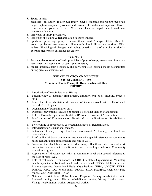5**.** Sports injuries

Shoulder – instability, rotator cuff injury, biceps tendonitis and rupture, pectoralis major rupture, scapular dyskinesis and acromio-clavicular joint injuries, Elbow – tennis elbow, golfer's elbow, Wrist and hand – carpal tunnel syndrome, gamekeeper's thumb.

- 6. Principles of injury prevention.
- 7. Principles of training & Rehabilitation in sports injuries.
- 8. Sports in Special age groups: Female athletic triad, Younger athlete- Musculoskeletal problems, management, children with chronic illness and nutrition. Older athlete- Physiological changes with aging, benefits, risks of exercise in elderly, exercise prescription guidelines for elderly.

#### **PRACTICAL**

- 1. Practical demonstration of basic principles of physiotherapy assessment, functional assessment and application of sports physiotherapy
- 2. Student must maintain a logbook**.** The duly completed logbook should be submitted during practical examination.

#### **REHABILITATION ON MEDICINE Subject Code: BPT – 405 Minimum Hours: Theory-80 Hrs., Practical-40 Hrs. THEORY**

- 1. Introduction of Rehabilitation & History
- 2. Epidemiology of disability (Impairment, disability, phases of disability process, etc.).
- 3. Principles of Rehabilitation & concept of team approach with rolls of each individual participant.
- 4. Organization of Rehabilitation unit.
- 5. Disability prevention evaluation & principles of Rehabilitation Management.
- 6. Role of Physiotherapy in Rehabilitation (Preventive, treatment & restoration)
- 7. Brief outline of Communication disorder & its implications on Rehabilitation process.
- 8. Brief outline of psychosocial & vocational aspects of Rehabilitation.
- 9. Introduction to Occupational therapy.
- 10. Activities of daily living, functional assessment & training for functional independence.
- 11. Brief outline of basic community medicine with special reference to community based Rehabilitation, infrastructure and role of CBR
- 12. Assessment of disability in rural & urban setups. Health care delivery system & preventive measures with specific reference to disabling conditions. Community education program.
- 13. Application of Physiotherapy skills at community level with special reference to the need at rural level.
- 14. Role of voluntary Organizations in CBR: Charitable Organizations, Voluntary health agencies – National level and International NGO's, Multilateral and Bilateral agencies. International Health Organizations: WHO, UNICEF, UNDP, UNFPA, FAO, ILO, World bank, USAID, SIDA, DANIDA, Rockfeller, Ford foundation, CARE, RED CROSS.
- 15. National District Level Rehabilitation Program: Primary rehabilitation unit, Regional training center, District rehabilitation center, Primary Health center, Village rehabilitation worker, Anganwadi worker.